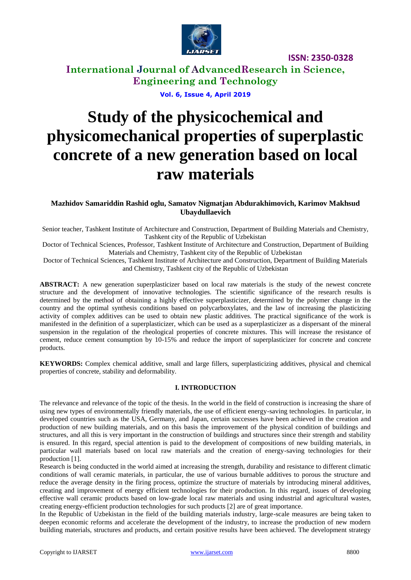

## **International Journal of AdvancedResearch in Science, Engineering and Technology**

**Vol. 6, Issue 4, April 2019**

# **Study of the physicochemical and physicomechanical properties of superplastic concrete of a new generation based on local raw materials**

### **Mazhidov Samariddin Rashid oglu, Samatov Nigmatjan Abdurakhimovich, Karimov Makhsud Ubaydullaevich**

Senior teacher, Tashkent Institute of Architecture and Construction, Department of Building Materials and Chemistry, Tashkent city of the Republic of Uzbekistan

Doctor of Technical Sciences, Professor, Tashkent Institute of Architecture and Construction, Department of Building Materials and Chemistry, Tashkent city of the Republic of Uzbekistan

Doctor of Technical Sciences, Tashkent Institute of Architecture and Construction, Department of Building Materials and Chemistry, Tashkent city of the Republic of Uzbekistan

**ABSTRACT:** A new generation superplasticizer based on local raw materials is the study of the newest concrete structure and the development of innovative technologies. The scientific significance of the research results is determined by the method of obtaining a highly effective superplasticizer, determined by the polymer change in the country and the optimal synthesis conditions based on polycarboxylates, and the law of increasing the plasticizing activity of complex additives can be used to obtain new plastic additives. The practical significance of the work is manifested in the definition of a superplasticizer, which can be used as a superplasticizer as a dispersant of the mineral suspension in the regulation of the rheological properties of concrete mixtures. This will increase the resistance of cement, reduce cement consumption by 10-15% and reduce the import of superplasticizer for concrete and concrete products.

**KEYWORDS:** Complex chemical additive, small and large fillers, superplasticizing additives, physical and chemical properties of concrete, stability and deformability.

### **I. INTRODUCTION**

The relevance and relevance of the topic of the thesis. In the world in the field of construction is increasing the share of using new types of environmentally friendly materials, the use of efficient energy-saving technologies. In particular, in developed countries such as the USA, Germany, and Japan, certain successes have been achieved in the creation and production of new building materials, and on this basis the improvement of the physical condition of buildings and structures, and all this is very important in the construction of buildings and structures since their strength and stability is ensured. In this regard, special attention is paid to the development of compositions of new building materials, in particular wall materials based on local raw materials and the creation of energy-saving technologies for their production [1].

Research is being conducted in the world aimed at increasing the strength, durability and resistance to different climatic conditions of wall ceramic materials, in particular, the use of various burnable additives to porous the structure and reduce the average density in the firing process, optimize the structure of materials by introducing mineral additives, creating and improvement of energy efficient technologies for their production. In this regard, issues of developing effective wall ceramic products based on low-grade local raw materials and using industrial and agricultural wastes, creating energy-efficient production technologies for such products [2] are of great importance.

In the Republic of Uzbekistan in the field of the building materials industry, large-scale measures are being taken to deepen economic reforms and accelerate the development of the industry, to increase the production of new modern building materials, structures and products, and certain positive results have been achieved. The development strategy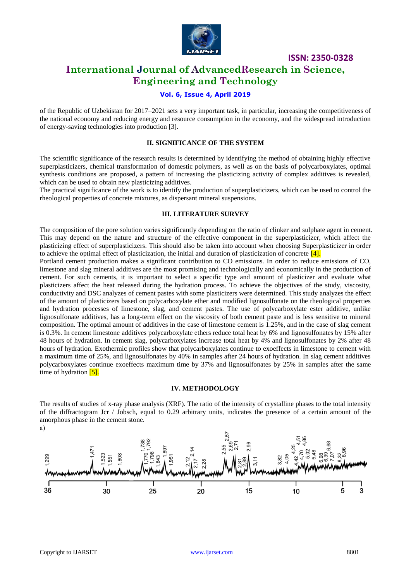

### **International Journal of AdvancedResearch in Science, Engineering and Technology**

### **Vol. 6, Issue 4, April 2019**

of the Republic of Uzbekistan for 2017–2021 sets a very important task, in particular, increasing the competitiveness of the national economy and reducing energy and resource consumption in the economy, and the widespread introduction of energy-saving technologies into production [3].

#### **II. SIGNIFICANCE OF THE SYSTEM**

The scientific significance of the research results is determined by identifying the method of obtaining highly effective superplasticizers, chemical transformation of domestic polymers, as well as on the basis of polycarboxylates, optimal synthesis conditions are proposed, a pattern of increasing the plasticizing activity of complex additives is revealed, which can be used to obtain new plasticizing additives.

The practical significance of the work is to identify the production of superplasticizers, which can be used to control the rheological properties of concrete mixtures, as dispersant mineral suspensions.

#### **III. LITERATURE SURVEY**

The composition of the pore solution varies significantly depending on the ratio of clinker and sulphate agent in cement. This may depend on the nature and structure of the effective component in the superplasticizer, which affect the plasticizing effect of superplasticizers. This should also be taken into account when choosing Superplasticizer in order to achieve the optimal effect of plasticization, the initial and duration of plasticization of concrete  $[4]$ .

Portland cement production makes a significant contribution to CO emissions. In order to reduce emissions of CO, limestone and slag mineral additives are the most promising and technologically and economically in the production of cement. For such cements, it is important to select a specific type and amount of plasticizer and evaluate what plasticizers affect the heat released during the hydration process. To achieve the objectives of the study, viscosity, conductivity and DSC analyzes of cement pastes with some plasticizers were determined. This study analyzes the effect of the amount of plasticizers based on polycarboxylate ether and modified lignosulfonate on the rheological properties and hydration processes of limestone, slag, and cement pastes. The use of polycarboxylate ester additive, unlike lignosulfonate additives, has a long-term effect on the viscosity of both cement paste and is less sensitive to mineral composition. The optimal amount of additives in the case of limestone cement is 1.25%, and in the case of slag cement is 0.3%. In cement limestone additives polycarboxylate ethers reduce total heat by 6% and lignosulfonates by 15% after 48 hours of hydration. In cement slag, polycarboxylates increase total heat by 4% and lignosulfonates by 2% after 48 hours of hydration. Exothermic profiles show that polycarboxylates continue to exoeffects in limestone to cement with a maximum time of 25%, and lignosulfonates by 40% in samples after 24 hours of hydration. In slag cement additives polycarboxylates continue exoeffects maximum time by 37% and lignosulfonates by 25% in samples after the same time of hydration  $[5]$ .

#### **IV. METHODOLOGY**

The results of studies of x-ray phase analysis (XRF). The ratio of the intensity of crystalline phases to the total intensity of the diffractogram Jcr / Jobsch, equal to 0.29 arbitrary units, indicates the presence of a certain amount of the amorphous phase in the cement stone.

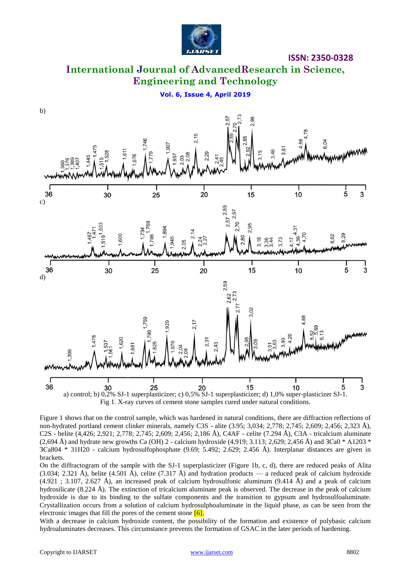

### **International Journal of AdvancedResearch in Science, Engineering and Technology**

**Vol. 6, Issue 4, April 2019**





Figure 1 shows that on the control sample, which was hardened in natural conditions, there are diffraction reflections of non-hydrated portland cement clinker minerals, namely C3S - alite (3.95; 3,034; 2,778; 2,745; 2,609; 2,456; 2,323 Å), C2S - belite (4,426; 2,921; 2,778; 2,745; 2,609; 2,456; 2,186 Å), C4AF - celite (7.294 Å), C3A - tricalcium aluminate  $(2,694 \text{ Å})$  and hydrate new growths Ca (OH) 2 - calcium hydroxide  $(4,919; 3.113; 2,629; 2,456 \text{ Å})$  and  $3Ca0 * A1203 *$ ЗСа804 \* 31Н20 - calcium hydrosulfophosphate (9.69; 5.492; 2.629; 2.456 Å). Interplanar distances are given in brackets.

On the diffractogram of the sample with the SJ-1 superplasticizer (Figure 1b, c, d), there are reduced peaks of Alita  $(3.034; 2.321 \text{ Å})$ , belite  $(4.501 \text{ Å})$ , celite  $(7.317 \text{ Å})$  and hydration products — a reduced peak of calcium hydroxide  $(4.921 \div 3.107, 2.627 \text{ Å})$ , an increased peak of calcium hydrosulfonic aluminum  $(9.414 \text{ Å})$  and a peak of calcium hydrosilicate (8.224 Å). The extinction of tricalcium aluminate peak is observed. The decrease in the peak of calcium hydroxide is due to its binding to the sulfate components and the transition to gypsum and hydrosulfoaluminate. Crystallization occurs from a solution of calcium hydrosulphoaluminate in the liquid phase, as can be seen from the electronic images that fill the pores of the cement stone  $[6]$ .

With a decrease in calcium hydroxide content, the possibility of the formation and existence of polybasic calcium hydroaluminates decreases. This circumstance prevents the formation of GSAC in the later periods of hardening.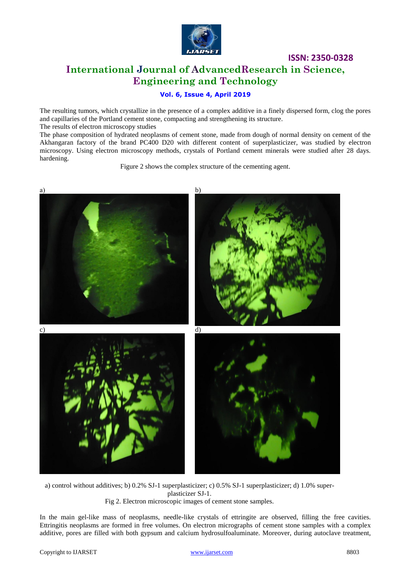

### **ISSN: 2350-0328 International Journal of AdvancedResearch in Science, Engineering and Technology**

### **Vol. 6, Issue 4, April 2019**

The resulting tumors, which crystallize in the presence of a complex additive in a finely dispersed form, clog the pores and capillaries of the Portland cement stone, compacting and strengthening its structure. The results of electron microscopy studies

The phase composition of hydrated neoplasms of cement stone, made from dough of normal density on cement of the Akhangaran factory of the brand PC400 D20 with different content of superplasticizer, was studied by electron microscopy. Using electron microscopy methods, crystals of Portland cement minerals were studied after 28 days. hardening.

Figure 2 shows the complex structure of the cementing agent.



a) control without additives; b) 0.2% SJ-1 superplasticizer; c) 0.5% SJ-1 superplasticizer; d) 1.0% superplasticizer SJ-1. Fig 2. Electron microscopic images of cement stone samples.

In the main gel-like mass of neoplasms, needle-like crystals of ettringite are observed, filling the free cavities. Ettringitis neoplasms are formed in free volumes. On electron micrographs of cement stone samples with a complex additive, pores are filled with both gypsum and calcium hydrosulfoaluminate. Moreover, during autoclave treatment,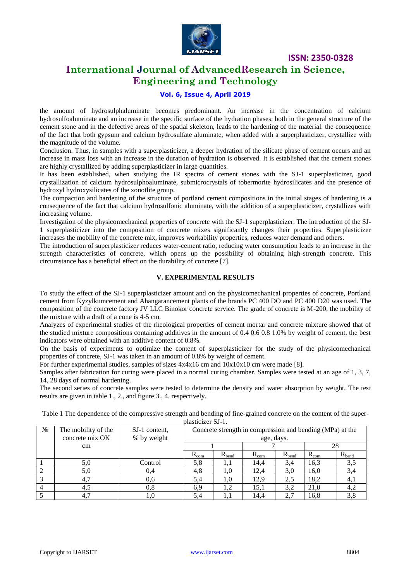

### **International Journal of AdvancedResearch in Science, Engineering and Technology**

#### **Vol. 6, Issue 4, April 2019**

the amount of hydrosulphaluminate becomes predominant. An increase in the concentration of calcium hydrosulfoaluminate and an increase in the specific surface of the hydration phases, both in the general structure of the cement stone and in the defective areas of the spatial skeleton, leads to the hardening of the material. the consequence of the fact that both gypsum and calcium hydrosulfate aluminate, when added with a superplasticizer, crystallize with the magnitude of the volume.

Conclusion. Thus, in samples with a superplasticizer, a deeper hydration of the silicate phase of cement occurs and an increase in mass loss with an increase in the duration of hydration is observed. It is established that the cement stones are highly crystallized by adding superplasticizer in large quantities.

It has been established, when studying the IR spectra of cement stones with the SJ-1 superplasticizer, good crystallization of calcium hydrosulphoaluminate, submicrocrystals of tobermorite hydrosilicates and the presence of hydroxyl hydroxysilicates of the xonotlite group.

The compaction and hardening of the structure of portland cement compositions in the initial stages of hardening is a consequence of the fact that calcium hydrosulfonic aluminate, with the addition of a superplasticizer, crystallizes with increasing volume.

Investigation of the physicomechanical properties of concrete with the SJ-1 superplasticizer. The introduction of the SJ-1 superplasticizer into the composition of concrete mixes significantly changes their properties. Superplasticizer increases the mobility of the concrete mix, improves workability properties, reduces water demand and others.

The introduction of superplasticizer reduces water-cement ratio, reducing water consumption leads to an increase in the strength characteristics of concrete, which opens up the possibility of obtaining high-strength concrete. This circumstance has a beneficial effect on the durability of concrete [7].

#### **V. EXPERIMENTAL RESULTS**

To study the effect of the SJ-1 superplasticizer amount and on the physicomechanical properties of concrete, Portland cement from Kyzylkumcement and Ahangarancement plants of the brands PC 400 DO and PC 400 D20 was used. The composition of the concrete factory JV LLC Binokor concrete service. The grade of concrete is M-200, the mobility of the mixture with a draft of a cone is 4-5 cm.

Analyzes of experimental studies of the rheological properties of cement mortar and concrete mixture showed that of the studied mixture compositions containing additives in the amount of 0.4 0.6 0.8 1.0% by weight of cement, the best indicators were obtained with an additive content of 0.8%.

On the basis of experiments to optimize the content of superplasticizer for the study of the physicomechanical properties of concrete, SJ-1 was taken in an amount of 0.8% by weight of cement.

For further experimental studies, samples of sizes  $4x4x16$  cm and  $10x10x10$  cm were made [8].

Samples after fabrication for curing were placed in a normal curing chamber. Samples were tested at an age of 1, 3, 7, 14, 28 days of normal hardening.

The second series of concrete samples were tested to determine the density and water absorption by weight. The test results are given in table 1., 2., and figure 3., 4. respectively.

Table 1 The dependence of the compressive strength and bending of fine-grained concrete on the content of the superplasticizer SJ-1.

| N <sub>2</sub> | The mobility of the | SJ-1 content. | Concrete strength in compression and bending (MPa) at the |            |               |            |           |            |  |
|----------------|---------------------|---------------|-----------------------------------------------------------|------------|---------------|------------|-----------|------------|--|
|                | concrete mix OK     | % by weight   | age, days.                                                |            |               |            |           |            |  |
|                | $\rm cm$            |               |                                                           |            |               |            | 28        |            |  |
|                |                     |               | $R_{\rm com}$                                             | $R_{bend}$ | $R_{\rm com}$ | $R_{bend}$ | $R_{com}$ | $R_{bend}$ |  |
|                | 5,0                 | Control       | 5,8                                                       | I,I        | 14,4          | 3.4        | 16,3      | 3,5        |  |
|                | 5,0                 | 0,4           | 4,8                                                       | L.O        | 12,4          | 3,0        | 16,0      | 3,4        |  |
|                | 4.7                 | 0.6           | 5,4                                                       | l.0        | 12,9          | 2,5        | 18,2      | 4, I       |  |
|                | 4.5                 | 0,8           | 6,9                                                       | 1,2        | 15,1          | 3,2        | 21,0      | 4,2        |  |
|                |                     | .0            | 5.4                                                       |            | 14,4          | 2.7        | 16,8      |            |  |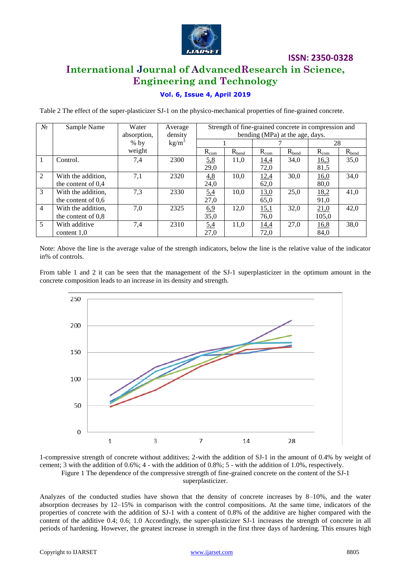

### **International Journal of AdvancedResearch in Science, Engineering and Technology**

### **Vol. 6, Issue 4, April 2019**

Table 2 The effect of the super-plasticizer SJ-1 on the physico-mechanical properties of fine-grained concrete.

| $N_2$          | Sample Name          | Water<br>absorption, | Average<br>density | Strength of fine-grained concrete in compression and<br>bending (MPa) at the age, days. |            |             |            |           |            |
|----------------|----------------------|----------------------|--------------------|-----------------------------------------------------------------------------------------|------------|-------------|------------|-----------|------------|
|                |                      | $%$ by               | kg/m <sup>3</sup>  |                                                                                         |            |             |            | 28        |            |
|                |                      | weight               |                    | $R_{\rm com}$                                                                           | $R_{bend}$ | $R_{com}$   | $R_{bend}$ | $R_{com}$ | $R_{bend}$ |
|                | Control.             | 7,4                  | 2300               | 5.8                                                                                     | 11,0       | 14,4        | 34,0       | 16,3      | 35,0       |
|                |                      |                      |                    | 29,0                                                                                    |            | 72,0        |            | 81,5      |            |
| 2              | With the addition,   | 7,1                  | 2320               | 4,8                                                                                     | 10,0       | 12,4        | 30,0       | 16,0      | 34,0       |
|                | the content of $0.4$ |                      |                    | 24,0                                                                                    |            | 62,0        |            | 80,0      |            |
| 3              | With the addition,   | 7,3                  | 2330               | 5.4                                                                                     | 10,0       | 13,0        | 25,0       | 18,2      | 41,0       |
|                | the content of $0.6$ |                      |                    | 27,0                                                                                    |            | 65,0        |            | 91,0      |            |
| $\overline{4}$ | With the addition,   | 7,0                  | 2325               | 6.9                                                                                     | 12,0       | 15,1        | 32,0       | 21,0      | 42,0       |
|                | the content of $0.8$ |                      |                    | 35,0                                                                                    |            | 76,0        |            | 105,0     |            |
| 5              | With additive        | 7,4                  | 2310               | 5.4                                                                                     | 11,0       | <u>14,4</u> | 27,0       | 16,8      | 38,0       |
|                | content $1,0$        |                      |                    | 27,0                                                                                    |            | 72,0        |            | 84,0      |            |

Note: Above the line is the average value of the strength indicators, below the line is the relative value of the indicator in% of controls.

From table 1 and 2 it can be seen that the management of the SJ-1 superplasticizer in the optimum amount in the concrete composition leads to an increase in its density and strength.



1-compressive strength of concrete without additives; 2-with the addition of SJ-1 in the amount of 0.4% by weight of cement; 3 with the addition of 0.6%; 4 - with the addition of 0.8%; 5 - with the addition of 1.0%, respectively. Figure 1 The dependence of the compressive strength of fine-grained concrete on the content of the SJ-1

superplasticizer.

Analyzes of the conducted studies have shown that the density of concrete increases by 8–10%, and the water absorption decreases by 12–15% in comparison with the control compositions. At the same time, indicators of the properties of concrete with the addition of SJ-1 with a content of 0.8% of the additive are higher compared with the content of the additive 0.4; 0.6; 1.0 Accordingly, the super-plasticizer SJ-1 increases the strength of concrete in all periods of hardening. However, the greatest increase in strength in the first three days of hardening. This ensures high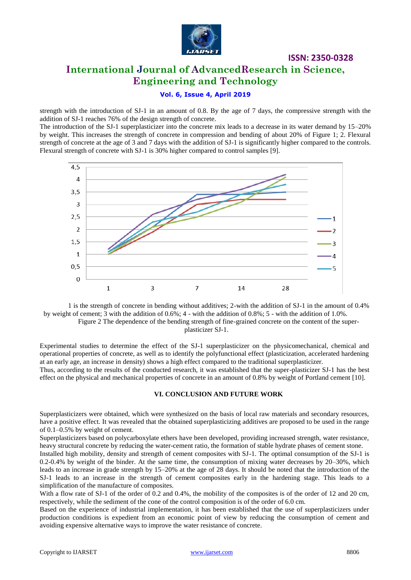

### **ISSN: 2350-0328 International Journal of AdvancedResearch in Science,**

**Engineering and Technology**

### **Vol. 6, Issue 4, April 2019**

strength with the introduction of SJ-1 in an amount of 0.8. By the age of 7 days, the compressive strength with the addition of SJ-1 reaches 76% of the design strength of concrete.

The introduction of the SJ-1 superplasticizer into the concrete mix leads to a decrease in its water demand by 15–20% by weight. This increases the strength of concrete in compression and bending of about 20% of Figure 1; 2. Flexural strength of concrete at the age of 3 and 7 days with the addition of SJ-1 is significantly higher compared to the controls. Flexural strength of concrete with SJ-1 is 30% higher compared to control samples [9].



1 is the strength of concrete in bending without additives; 2-with the addition of SJ-1 in the amount of 0.4% by weight of cement; 3 with the addition of 0.6%; 4 - with the addition of 0.8%; 5 - with the addition of 1.0%. Figure 2 The dependence of the bending strength of fine-grained concrete on the content of the superplasticizer SJ-1.

Experimental studies to determine the effect of the SJ-1 superplasticizer on the physicomechanical, chemical and operational properties of concrete, as well as to identify the polyfunctional effect (plasticization, accelerated hardening at an early age, an increase in density) shows a high effect compared to the traditional superplasticizer. Thus, according to the results of the conducted research, it was established that the super-plasticizer SJ-1 has the best effect on the physical and mechanical properties of concrete in an amount of 0.8% by weight of Portland cement [10].

#### **VI. CONCLUSION AND FUTURE WORK**

Superplasticizers were obtained, which were synthesized on the basis of local raw materials and secondary resources, have a positive effect. It was revealed that the obtained superplasticizing additives are proposed to be used in the range of 0.1–0.5% by weight of cement.

Superplasticizers based on polycarboxylate ethers have been developed, providing increased strength, water resistance, heavy structural concrete by reducing the water-cement ratio, the formation of stable hydrate phases of cement stone.

Installed high mobility, density and strength of cement composites with SJ-1. The optimal consumption of the SJ-1 is 0.2-0.4% by weight of the binder. At the same time, the consumption of mixing water decreases by 20–30%, which leads to an increase in grade strength by 15–20% at the age of 28 days. It should be noted that the introduction of the SJ-1 leads to an increase in the strength of cement composites early in the hardening stage. This leads to a simplification of the manufacture of composites.

With a flow rate of SJ-1 of the order of 0.2 and 0.4%, the mobility of the composites is of the order of 12 and 20 cm, respectively, while the sediment of the cone of the control composition is of the order of 6.0 cm.

Based on the experience of industrial implementation, it has been established that the use of superplasticizers under production conditions is expedient from an economic point of view by reducing the consumption of cement and avoiding expensive alternative ways to improve the water resistance of concrete.